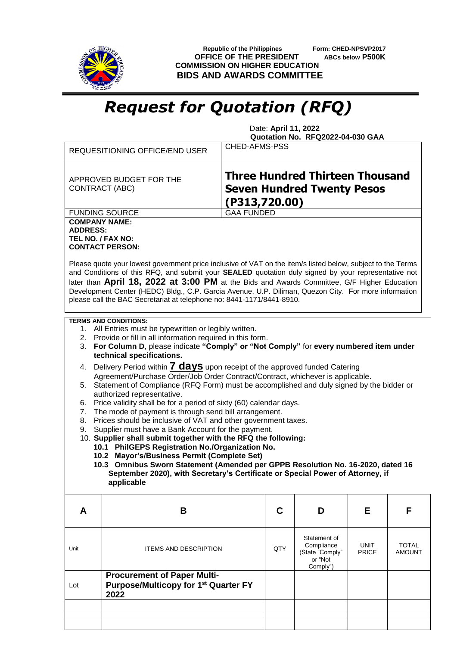

 **Republic of the Philippines Form: CHED-NPSVP2017 OFFICE OF THE PRESIDENT ABCs below P500K COMMISSION ON HIGHER EDUCATION BIDS AND AWARDS COMMITTEE**

## *Request for Quotation (RFQ)*

 Date: **April 11, 2022 Quotation No. RFQ2022-04-030 GAA**

|                                                                                                                                                                                                                                                                                                                                                                                                                                                                                                                                                                                                                                                                                                                                                                                                                                                                                                                                                                                                                                                                                                                                                                                                                                    | <b>REQUESITIONING OFFICE/END USER</b>                                                                                                                                                                                                                                                                                                                                                                                                                                                                                                             | <b>CHED-AFMS-PSS</b>                                                                         |                                                                      |                             |                        |  |
|------------------------------------------------------------------------------------------------------------------------------------------------------------------------------------------------------------------------------------------------------------------------------------------------------------------------------------------------------------------------------------------------------------------------------------------------------------------------------------------------------------------------------------------------------------------------------------------------------------------------------------------------------------------------------------------------------------------------------------------------------------------------------------------------------------------------------------------------------------------------------------------------------------------------------------------------------------------------------------------------------------------------------------------------------------------------------------------------------------------------------------------------------------------------------------------------------------------------------------|---------------------------------------------------------------------------------------------------------------------------------------------------------------------------------------------------------------------------------------------------------------------------------------------------------------------------------------------------------------------------------------------------------------------------------------------------------------------------------------------------------------------------------------------------|----------------------------------------------------------------------------------------------|----------------------------------------------------------------------|-----------------------------|------------------------|--|
|                                                                                                                                                                                                                                                                                                                                                                                                                                                                                                                                                                                                                                                                                                                                                                                                                                                                                                                                                                                                                                                                                                                                                                                                                                    | APPROVED BUDGET FOR THE<br><b>CONTRACT (ABC)</b>                                                                                                                                                                                                                                                                                                                                                                                                                                                                                                  | <b>Three Hundred Thirteen Thousand</b><br><b>Seven Hundred Twenty Pesos</b><br>(P313,720.00) |                                                                      |                             |                        |  |
|                                                                                                                                                                                                                                                                                                                                                                                                                                                                                                                                                                                                                                                                                                                                                                                                                                                                                                                                                                                                                                                                                                                                                                                                                                    | <b>FUNDING SOURCE</b>                                                                                                                                                                                                                                                                                                                                                                                                                                                                                                                             | <b>GAA FUNDED</b>                                                                            |                                                                      |                             |                        |  |
| <b>COMPANY NAME:</b><br><b>ADDRESS:</b>                                                                                                                                                                                                                                                                                                                                                                                                                                                                                                                                                                                                                                                                                                                                                                                                                                                                                                                                                                                                                                                                                                                                                                                            | TEL NO. / FAX NO:<br><b>CONTACT PERSON:</b><br>Please quote your lowest government price inclusive of VAT on the item/s listed below, subject to the Terms<br>and Conditions of this RFQ, and submit your SEALED quotation duly signed by your representative not<br>later than April 18, 2022 at 3:00 PM at the Bids and Awards Committee, G/F Higher Education<br>Development Center (HEDC) Bldg., C.P. Garcia Avenue, U.P. Diliman, Quezon City. For more information<br>please call the BAC Secretariat at telephone no: 8441-1171/8441-8910. |                                                                                              |                                                                      |                             |                        |  |
|                                                                                                                                                                                                                                                                                                                                                                                                                                                                                                                                                                                                                                                                                                                                                                                                                                                                                                                                                                                                                                                                                                                                                                                                                                    |                                                                                                                                                                                                                                                                                                                                                                                                                                                                                                                                                   |                                                                                              |                                                                      |                             |                        |  |
| <b>TERMS AND CONDITIONS:</b><br>1. All Entries must be typewritten or legibly written.<br>2. Provide or fill in all information required in this form.<br>For Column D, please indicate "Comply" or "Not Comply" for every numbered item under<br>3.<br>technical specifications.<br>Delivery Period within <b>7 days</b> upon receipt of the approved funded Catering<br>4.<br>Agreement/Purchase Order/Job Order Contract/Contract, whichever is applicable.<br>Statement of Compliance (RFQ Form) must be accomplished and duly signed by the bidder or<br>5.<br>authorized representative.<br>Price validity shall be for a period of sixty (60) calendar days.<br>6.<br>The mode of payment is through send bill arrangement.<br>7.<br>Prices should be inclusive of VAT and other government taxes.<br>8.<br>Supplier must have a Bank Account for the payment.<br>9.<br>10. Supplier shall submit together with the RFQ the following:<br>10.1 PhilGEPS Registration No./Organization No.<br>10.2 Mayor's/Business Permit (Complete Set)<br>10.3 Omnibus Sworn Statement (Amended per GPPB Resolution No. 16-2020, dated 16<br>September 2020), with Secretary's Certificate or Special Power of Attorney, if<br>applicable |                                                                                                                                                                                                                                                                                                                                                                                                                                                                                                                                                   |                                                                                              |                                                                      |                             |                        |  |
| A                                                                                                                                                                                                                                                                                                                                                                                                                                                                                                                                                                                                                                                                                                                                                                                                                                                                                                                                                                                                                                                                                                                                                                                                                                  | B                                                                                                                                                                                                                                                                                                                                                                                                                                                                                                                                                 | C                                                                                            | D                                                                    | Е                           | F                      |  |
| Unit                                                                                                                                                                                                                                                                                                                                                                                                                                                                                                                                                                                                                                                                                                                                                                                                                                                                                                                                                                                                                                                                                                                                                                                                                               | <b>ITEMS AND DESCRIPTION</b>                                                                                                                                                                                                                                                                                                                                                                                                                                                                                                                      | QTY                                                                                          | Statement of<br>Compliance<br>(State "Comply"<br>or "Not<br>Comply") | <b>UNIT</b><br><b>PRICE</b> | TOTAL<br><b>AMOUNT</b> |  |
| Lot                                                                                                                                                                                                                                                                                                                                                                                                                                                                                                                                                                                                                                                                                                                                                                                                                                                                                                                                                                                                                                                                                                                                                                                                                                | <b>Procurement of Paper Multi-</b><br>Purpose/Multicopy for 1 <sup>st</sup> Quarter FY<br>2022                                                                                                                                                                                                                                                                                                                                                                                                                                                    |                                                                                              |                                                                      |                             |                        |  |
|                                                                                                                                                                                                                                                                                                                                                                                                                                                                                                                                                                                                                                                                                                                                                                                                                                                                                                                                                                                                                                                                                                                                                                                                                                    |                                                                                                                                                                                                                                                                                                                                                                                                                                                                                                                                                   |                                                                                              |                                                                      |                             |                        |  |
|                                                                                                                                                                                                                                                                                                                                                                                                                                                                                                                                                                                                                                                                                                                                                                                                                                                                                                                                                                                                                                                                                                                                                                                                                                    |                                                                                                                                                                                                                                                                                                                                                                                                                                                                                                                                                   |                                                                                              |                                                                      |                             |                        |  |
|                                                                                                                                                                                                                                                                                                                                                                                                                                                                                                                                                                                                                                                                                                                                                                                                                                                                                                                                                                                                                                                                                                                                                                                                                                    |                                                                                                                                                                                                                                                                                                                                                                                                                                                                                                                                                   |                                                                                              |                                                                      |                             |                        |  |